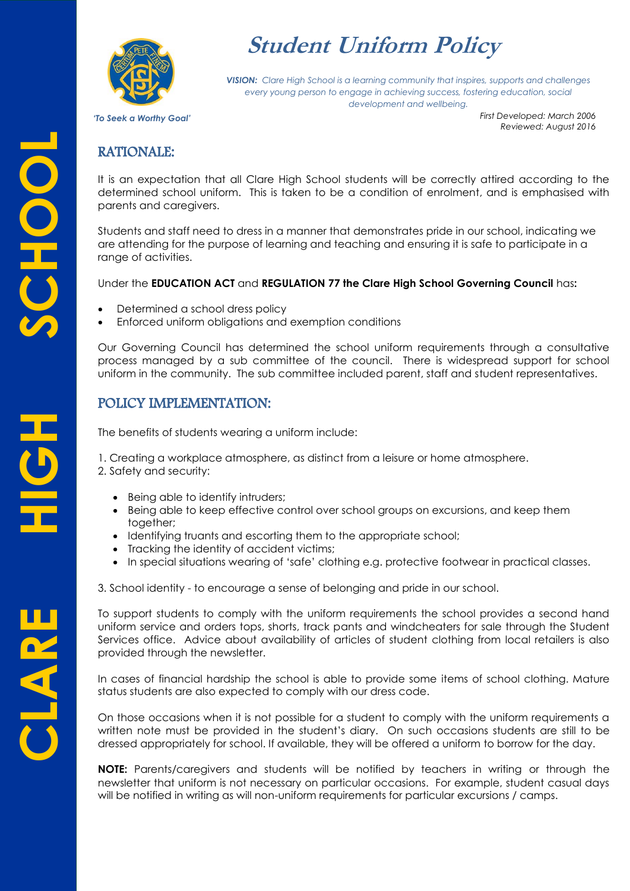

# **Student Uniform Policy**

*VISION: Clare High School is a learning community that inspires, supports and challenges every young person to engage in achieving success, fostering education, social development and wellbeing.*

*'To Seek a Worthy Goal'*

*First Developed: March 2006 Reviewed: August 2016*

### RATIONALE:

It is an expectation that all Clare High School students will be correctly attired according to the determined school uniform. This is taken to be a condition of enrolment, and is emphasised with parents and caregivers.

Students and staff need to dress in a manner that demonstrates pride in our school, indicating we are attending for the purpose of learning and teaching and ensuring it is safe to participate in a range of activities.

Under the **EDUCATION ACT** and **REGULATION 77 the Clare High School Governing Council** has**:**

- Determined a school dress policy
- Enforced uniform obligations and exemption conditions

Our Governing Council has determined the school uniform requirements through a consultative process managed by a sub committee of the council. There is widespread support for school uniform in the community. The sub committee included parent, staff and student representatives.

### POLICY IMPLEMENTATION:

The benefits of students wearing a uniform include:

1. Creating a workplace atmosphere, as distinct from a leisure or home atmosphere.

2. Safety and security:

- Being able to identify intruders;
- Being able to keep effective control over school groups on excursions, and keep them together;
- Identifying truants and escorting them to the appropriate school;
- Tracking the identity of accident victims;
- In special situations wearing of 'safe' clothing e.g. protective footwear in practical classes.

3. School identity - to encourage a sense of belonging and pride in our school.

To support students to comply with the uniform requirements the school provides a second hand uniform service and orders tops, shorts, track pants and windcheaters for sale through the Student Services office. Advice about availability of articles of student clothing from local retailers is also provided through the newsletter.

In cases of financial hardship the school is able to provide some items of school clothing. Mature status students are also expected to comply with our dress code.

On those occasions when it is not possible for a student to comply with the uniform requirements a written note must be provided in the student's diary. On such occasions students are still to be dressed appropriately for school. If available, they will be offered a uniform to borrow for the day.

**NOTE:** Parents/caregivers and students will be notified by teachers in writing or through the newsletter that uniform is not necessary on particular occasions. For example, student casual days will be notified in writing as will non-uniform requirements for particular excursions / camps.

CLARI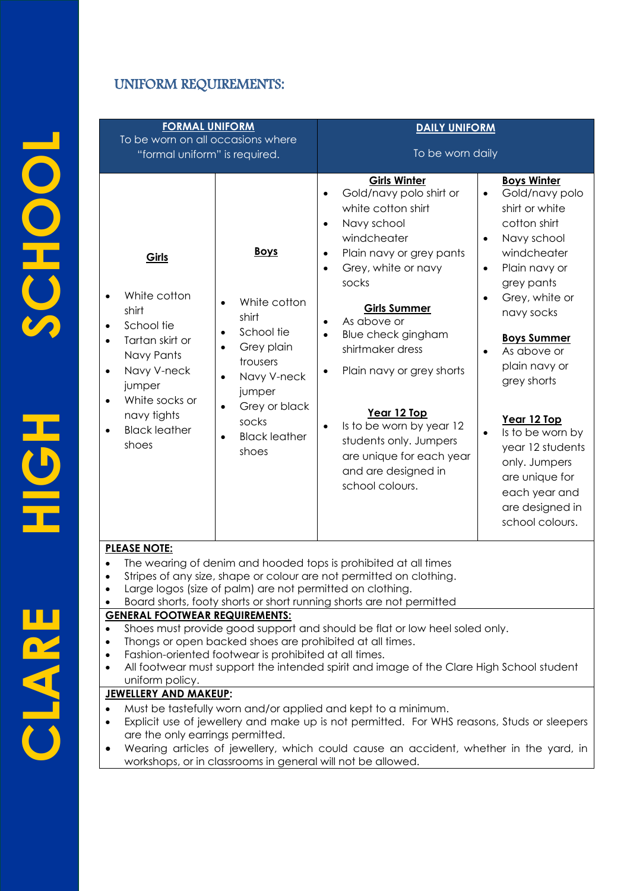# UNIFORM REQUIREMENTS:

| <b>FORMAL UNIFORM</b>                                                                                                                                                                                                                                                                                                                                                               |                                                                                                                                                                                                                                                | <b>DAILY UNIFORM</b>                                                                                                                                                                                                                                                                                                                                                                                                                                                                                                           |                                                                                                                                                                                                                                                                                                                                                                                                                                                                         |  |
|-------------------------------------------------------------------------------------------------------------------------------------------------------------------------------------------------------------------------------------------------------------------------------------------------------------------------------------------------------------------------------------|------------------------------------------------------------------------------------------------------------------------------------------------------------------------------------------------------------------------------------------------|--------------------------------------------------------------------------------------------------------------------------------------------------------------------------------------------------------------------------------------------------------------------------------------------------------------------------------------------------------------------------------------------------------------------------------------------------------------------------------------------------------------------------------|-------------------------------------------------------------------------------------------------------------------------------------------------------------------------------------------------------------------------------------------------------------------------------------------------------------------------------------------------------------------------------------------------------------------------------------------------------------------------|--|
| To be worn on all occasions where<br>"formal uniform" is required.                                                                                                                                                                                                                                                                                                                  |                                                                                                                                                                                                                                                | To be worn daily                                                                                                                                                                                                                                                                                                                                                                                                                                                                                                               |                                                                                                                                                                                                                                                                                                                                                                                                                                                                         |  |
| Girls<br>White cotton<br>shirt<br>School tie<br>$\bullet$<br>Tartan skirt or<br>Navy Pants<br>Navy V-neck<br>$\bullet$<br>jumper<br>White socks or<br>$\bullet$<br>navy tights<br><b>Black leather</b><br>shoes                                                                                                                                                                     | <b>Boys</b><br>White cotton<br>$\bullet$<br>shirt<br>School tie<br>$\bullet$<br>Grey plain<br>$\bullet$<br>trousers<br>Navy V-neck<br>$\bullet$<br>jumper<br>Grey or black<br>$\bullet$<br>socks<br><b>Black leather</b><br>$\bullet$<br>shoes | <b>Girls Winter</b><br>Gold/navy polo shirt or<br>$\bullet$<br>white cotton shirt<br>Navy school<br>$\bullet$<br>windcheater<br>Plain navy or grey pants<br>$\bullet$<br>Grey, white or navy<br>$\bullet$<br>socks<br><b>Girls Summer</b><br>As above or<br>$\bullet$<br>Blue check gingham<br>$\bullet$<br>shirtmaker dress<br>Plain navy or grey shorts<br>$\bullet$<br>Year 12 Top<br>Is to be worn by year 12<br>$\bullet$<br>students only. Jumpers<br>are unique for each year<br>and are designed in<br>school colours. | <b>Boys Winter</b><br>Gold/navy polo<br>$\bullet$<br>shirt or white<br>cotton shirt<br>Navy school<br>$\bullet$<br>windcheater<br>Plain navy or<br>$\bullet$<br>grey pants<br>Grey, white or<br>$\bullet$<br>navy socks<br><b>Boys Summer</b><br>As above or<br>$\bullet$<br>plain navy or<br>grey shorts<br>Year 12 Top<br>Is to be worn by<br>$\bullet$<br>year 12 students<br>only. Jumpers<br>are unique for<br>each year and<br>are designed in<br>school colours. |  |
| <b>PLEASE NOTE:</b><br>The wearing of denim and hooded tops is prohibited at all times<br>Stripes of any size, shape or colour are not permitted on clothing.<br>Large logos (size of palm) are not permitted on clothing.<br>Board shorts, footy shorts or short running shorts are not permitted                                                                                  |                                                                                                                                                                                                                                                |                                                                                                                                                                                                                                                                                                                                                                                                                                                                                                                                |                                                                                                                                                                                                                                                                                                                                                                                                                                                                         |  |
| <b>GENERAL FOOTWEAR REQUIREMENTS:</b><br>Shoes must provide good support and should be flat or low heel soled only.<br>$\bullet$<br>Thongs or open backed shoes are prohibited at all times.<br>٠<br>Fashion-oriented footwear is prohibited at all times.<br>٠<br>All footwear must support the intended spirit and image of the Clare High School student<br>٠<br>uniform policy. |                                                                                                                                                                                                                                                |                                                                                                                                                                                                                                                                                                                                                                                                                                                                                                                                |                                                                                                                                                                                                                                                                                                                                                                                                                                                                         |  |
| <b>JEWELLERY AND MAKEUP:</b><br>$\bullet$<br>$\bullet$<br>are the only earrings permitted.<br>٠                                                                                                                                                                                                                                                                                     |                                                                                                                                                                                                                                                | Must be tastefully worn and/or applied and kept to a minimum.<br>Explicit use of jewellery and make up is not permitted. For WHS reasons, Studs or sleepers<br>Wearing articles of jewellery, which could cause an accident, whether in the yard, in<br>workshops, or in classrooms in general will not be allowed.                                                                                                                                                                                                            |                                                                                                                                                                                                                                                                                                                                                                                                                                                                         |  |

**CLARE HIGH SCHOOL** CLARE

HOH

SCHOOL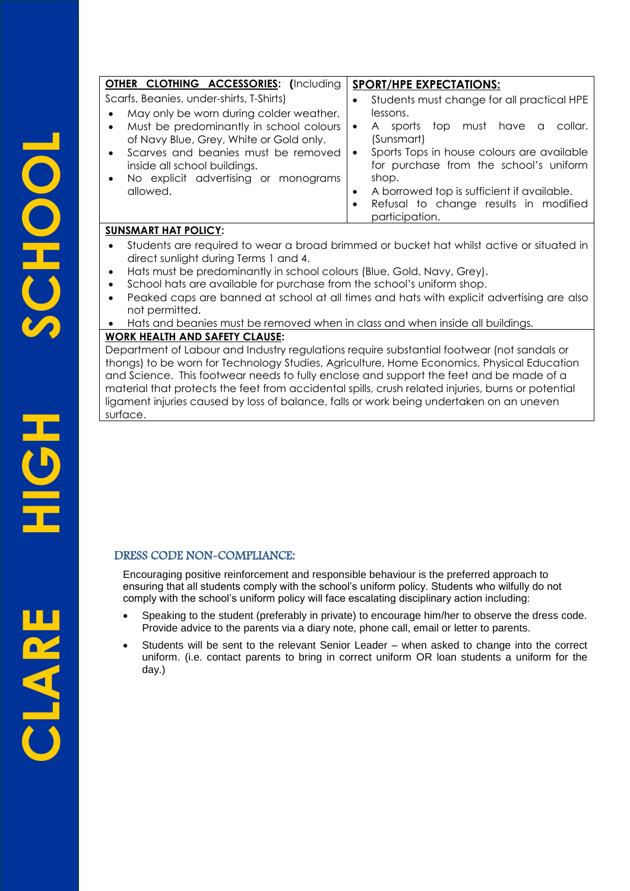| <b>OTHER CLOTHING ACCESSORIES:</b> (Including                                                                           | <b>SPORT/HPE EXPECTATIONS:</b>                                                                                                                                                                                                        |
|-------------------------------------------------------------------------------------------------------------------------|---------------------------------------------------------------------------------------------------------------------------------------------------------------------------------------------------------------------------------------|
| Scarfs, Beanies, under-shirts, T-Shirts)                                                                                | Students must change for all practical HPE<br>٠                                                                                                                                                                                       |
| May only be worn during colder weather.                                                                                 | lessons.                                                                                                                                                                                                                              |
| Must be predominantly in school colours<br>of Navy Blue, Grey, White or Gold only.                                      | top must have<br>collar.<br>$\mathsf{A}$<br>sports<br>$\alpha$<br>$\bullet$<br>(Sunsmart)                                                                                                                                             |
| Scarves and beanies must be removed<br>inside all school buildings.<br>No explicit advertising or monograms<br>allowed. | Sports Tops in house colours are available<br>$\bullet$<br>for purchase from the school's uniform<br>shop.<br>A borrowed top is sufficient if available.<br>$\bullet$<br>Refusal to change results in modified<br>٠<br>participation. |

#### **SUNSMART HAT POLICY:**

- Students are required to wear a broad brimmed or bucket hat whilst active or situated in direct sunlight during Terms 1 and 4.
- Hats must be predominantly in school colours (Blue, Gold, Navy, Grey).
- School hats are available for purchase from the school's uniform shop.
- Peaked caps are banned at school at all times and hats with explicit advertising are also not permitted.
- Hats and beanies must be removed when in class and when inside all buildings.

#### **WORK HEALTH AND SAFETY CLAUSE:**

Department of Labour and Industry regulations require substantial footwear (not sandals or thongs) to be worn for Technology Studies, Agriculture, Home Economics, Physical Education and Science. This footwear needs to fully enclose and support the feet and be made of a material that protects the feet from accidental spills, crush related injuries, burns or potential ligament injuries caused by loss of balance, falls or work being undertaken on an uneven surface.

### DRESS CODE NON-COMPLIANCE:

Encouraging positive reinforcement and responsible behaviour is the preferred approach to ensuring that all students comply with the school's uniform policy. Students who wilfully do not comply with the school's uniform policy will face escalating disciplinary action including:

- Speaking to the student (preferably in private) to encourage him/her to observe the dress code. Provide advice to the parents via a diary note, phone call, email or letter to parents.
- Students will be sent to the relevant Senior Leader when asked to change into the correct uniform. (i.e. contact parents to bring in correct uniform OR loan students a uniform for the day.)

HQH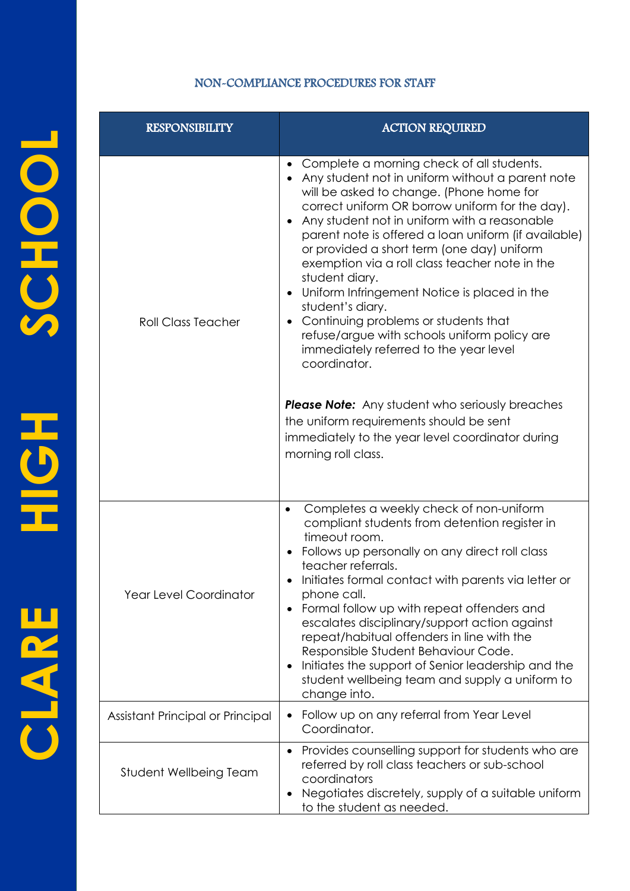#### NON-COMPLIANCE PROCEDURES FOR STAFF

| <b>RESPONSIBILITY</b>            | <b>ACTION REQUIRED</b>                                                                                                                                                                                                                                                                                                                                                                                                                                                                                                                                                                                                                                    |  |
|----------------------------------|-----------------------------------------------------------------------------------------------------------------------------------------------------------------------------------------------------------------------------------------------------------------------------------------------------------------------------------------------------------------------------------------------------------------------------------------------------------------------------------------------------------------------------------------------------------------------------------------------------------------------------------------------------------|--|
| <b>Roll Class Teacher</b>        | Complete a morning check of all students.<br>Any student not in uniform without a parent note<br>will be asked to change. (Phone home for<br>correct uniform OR borrow uniform for the day).<br>Any student not in uniform with a reasonable<br>parent note is offered a loan uniform (if available)<br>or provided a short term (one day) uniform<br>exemption via a roll class teacher note in the<br>student diary.<br>Uniform Infringement Notice is placed in the<br>student's diary.<br>Continuing problems or students that<br>$\bullet$<br>refuse/argue with schools uniform policy are<br>immediately referred to the year level<br>coordinator. |  |
|                                  | <b>Please Note:</b> Any student who seriously breaches<br>the uniform requirements should be sent<br>immediately to the year level coordinator during<br>morning roll class.                                                                                                                                                                                                                                                                                                                                                                                                                                                                              |  |
| <b>Year Level Coordinator</b>    | Completes a weekly check of non-uniform<br>$\bullet$<br>compliant students from detention register in<br>timeout room.<br>Follows up personally on any direct roll class<br>teacher referrals.<br>Initiates formal contact with parents via letter or<br>phone call.<br>Formal follow up with repeat offenders and<br>escalates disciplinary/support action against<br>repeat/habitual offenders in line with the<br>Responsible Student Behaviour Code.<br>Initiates the support of Senior leadership and the<br>student wellbeing team and supply a uniform to<br>change into.                                                                          |  |
| Assistant Principal or Principal | Follow up on any referral from Year Level<br>٠<br>Coordinator.                                                                                                                                                                                                                                                                                                                                                                                                                                                                                                                                                                                            |  |
| Student Wellbeing Team           | Provides counselling support for students who are<br>$\bullet$<br>referred by roll class teachers or sub-school<br>coordinators<br>Negotiates discretely, supply of a suitable uniform<br>٠<br>to the student as needed.                                                                                                                                                                                                                                                                                                                                                                                                                                  |  |